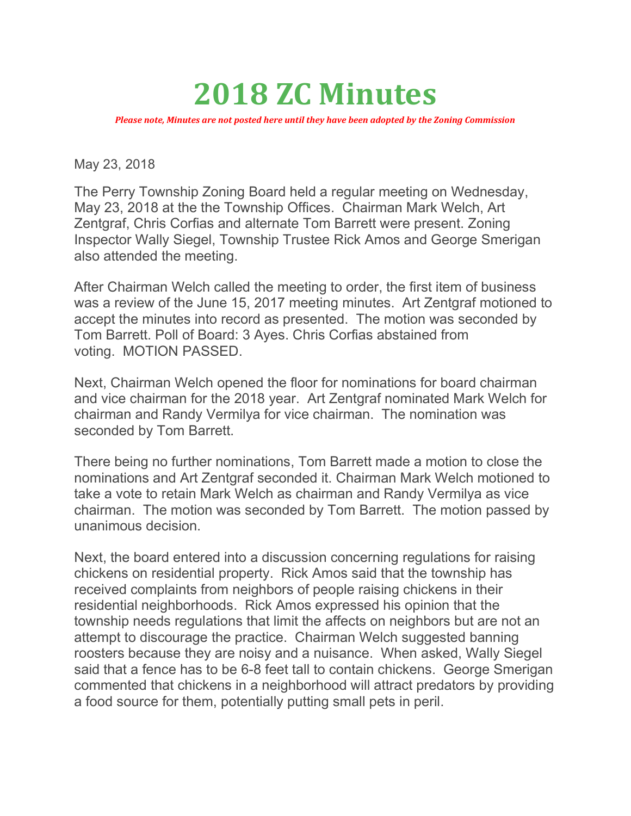## 2018 ZC Minutes

Please note, Minutes are not posted here until they have been adopted by the Zoning Commission

May 23, 2018

The Perry Township Zoning Board held a regular meeting on Wednesday, May 23, 2018 at the the Township Offices. Chairman Mark Welch, Art Zentgraf, Chris Corfias and alternate Tom Barrett were present. Zoning Inspector Wally Siegel, Township Trustee Rick Amos and George Smerigan also attended the meeting.

After Chairman Welch called the meeting to order, the first item of business was a review of the June 15, 2017 meeting minutes. Art Zentgraf motioned to accept the minutes into record as presented. The motion was seconded by Tom Barrett. Poll of Board: 3 Ayes. Chris Corfias abstained from voting. MOTION PASSED.

Next, Chairman Welch opened the floor for nominations for board chairman and vice chairman for the 2018 year. Art Zentgraf nominated Mark Welch for chairman and Randy Vermilya for vice chairman. The nomination was seconded by Tom Barrett.

There being no further nominations, Tom Barrett made a motion to close the nominations and Art Zentgraf seconded it. Chairman Mark Welch motioned to take a vote to retain Mark Welch as chairman and Randy Vermilya as vice chairman. The motion was seconded by Tom Barrett. The motion passed by unanimous decision.

Next, the board entered into a discussion concerning regulations for raising chickens on residential property. Rick Amos said that the township has received complaints from neighbors of people raising chickens in their residential neighborhoods. Rick Amos expressed his opinion that the township needs regulations that limit the affects on neighbors but are not an attempt to discourage the practice. Chairman Welch suggested banning roosters because they are noisy and a nuisance. When asked, Wally Siegel said that a fence has to be 6-8 feet tall to contain chickens. George Smerigan commented that chickens in a neighborhood will attract predators by providing a food source for them, potentially putting small pets in peril.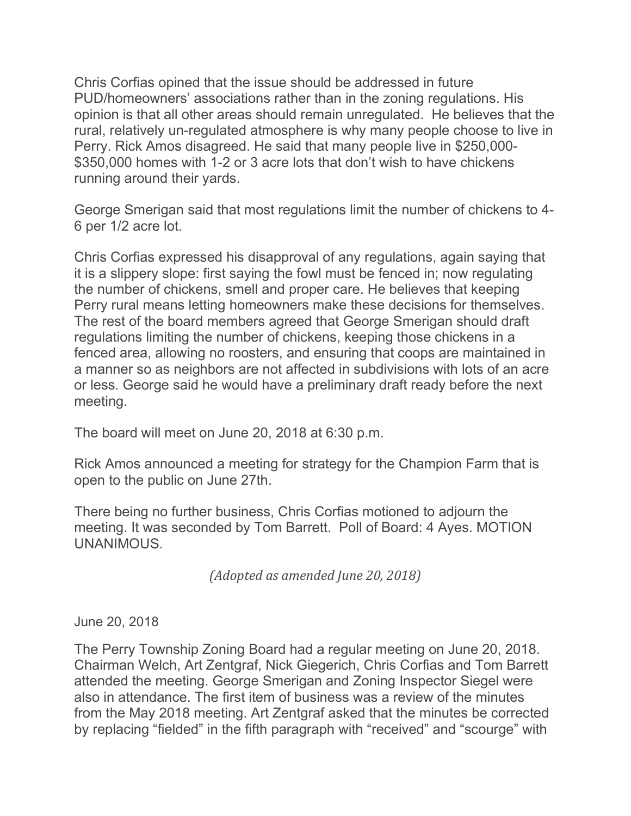Chris Corfias opined that the issue should be addressed in future PUD/homeowners' associations rather than in the zoning regulations. His opinion is that all other areas should remain unregulated. He believes that the rural, relatively un-regulated atmosphere is why many people choose to live in Perry. Rick Amos disagreed. He said that many people live in \$250,000- \$350,000 homes with 1-2 or 3 acre lots that don't wish to have chickens running around their yards.

George Smerigan said that most regulations limit the number of chickens to 4- 6 per 1/2 acre lot.

Chris Corfias expressed his disapproval of any regulations, again saying that it is a slippery slope: first saying the fowl must be fenced in; now regulating the number of chickens, smell and proper care. He believes that keeping Perry rural means letting homeowners make these decisions for themselves. The rest of the board members agreed that George Smerigan should draft regulations limiting the number of chickens, keeping those chickens in a fenced area, allowing no roosters, and ensuring that coops are maintained in a manner so as neighbors are not affected in subdivisions with lots of an acre or less. George said he would have a preliminary draft ready before the next meeting.

The board will meet on June 20, 2018 at 6:30 p.m.

Rick Amos announced a meeting for strategy for the Champion Farm that is open to the public on June 27th.

There being no further business, Chris Corfias motioned to adjourn the meeting. It was seconded by Tom Barrett. Poll of Board: 4 Ayes. MOTION UNANIMOUS.

(Adopted as amended June 20, 2018)

June 20, 2018

The Perry Township Zoning Board had a regular meeting on June 20, 2018. Chairman Welch, Art Zentgraf, Nick Giegerich, Chris Corfias and Tom Barrett attended the meeting. George Smerigan and Zoning Inspector Siegel were also in attendance. The first item of business was a review of the minutes from the May 2018 meeting. Art Zentgraf asked that the minutes be corrected by replacing "fielded" in the fifth paragraph with "received" and "scourge" with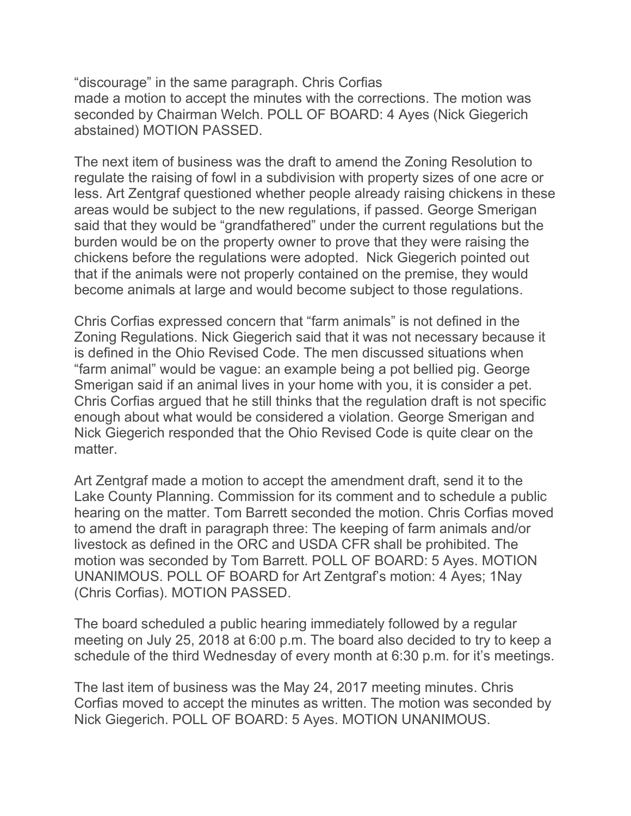"discourage" in the same paragraph. Chris Corfias made a motion to accept the minutes with the corrections. The motion was seconded by Chairman Welch. POLL OF BOARD: 4 Ayes (Nick Giegerich abstained) MOTION PASSED.

The next item of business was the draft to amend the Zoning Resolution to regulate the raising of fowl in a subdivision with property sizes of one acre or less. Art Zentgraf questioned whether people already raising chickens in these areas would be subject to the new regulations, if passed. George Smerigan said that they would be "grandfathered" under the current regulations but the burden would be on the property owner to prove that they were raising the chickens before the regulations were adopted. Nick Giegerich pointed out that if the animals were not properly contained on the premise, they would become animals at large and would become subject to those regulations.

Chris Corfias expressed concern that "farm animals" is not defined in the Zoning Regulations. Nick Giegerich said that it was not necessary because it is defined in the Ohio Revised Code. The men discussed situations when "farm animal" would be vague: an example being a pot bellied pig. George Smerigan said if an animal lives in your home with you, it is consider a pet. Chris Corfias argued that he still thinks that the regulation draft is not specific enough about what would be considered a violation. George Smerigan and Nick Giegerich responded that the Ohio Revised Code is quite clear on the matter.

Art Zentgraf made a motion to accept the amendment draft, send it to the Lake County Planning. Commission for its comment and to schedule a public hearing on the matter. Tom Barrett seconded the motion. Chris Corfias moved to amend the draft in paragraph three: The keeping of farm animals and/or livestock as defined in the ORC and USDA CFR shall be prohibited. The motion was seconded by Tom Barrett. POLL OF BOARD: 5 Ayes. MOTION UNANIMOUS. POLL OF BOARD for Art Zentgraf's motion: 4 Ayes; 1Nay (Chris Corfias). MOTION PASSED.

The board scheduled a public hearing immediately followed by a regular meeting on July 25, 2018 at 6:00 p.m. The board also decided to try to keep a schedule of the third Wednesday of every month at 6:30 p.m. for it's meetings.

The last item of business was the May 24, 2017 meeting minutes. Chris Corfias moved to accept the minutes as written. The motion was seconded by Nick Giegerich. POLL OF BOARD: 5 Ayes. MOTION UNANIMOUS.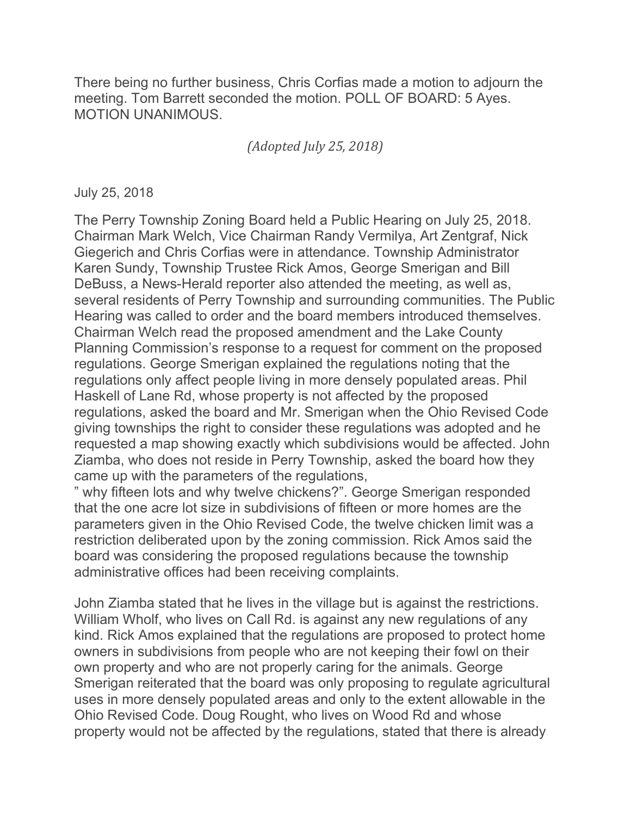There being no further business, Chris Corfias made a motion to adjourn the meeting. Tom Barrett seconded the motion. POLL OF BOARD: 5 Ayes. MOTION UNANIMOUS.

(Adopted July 25, 2018)

July 25, 2018

The Perry Township Zoning Board held a Public Hearing on July 25, 2018. Chairman Mark Welch, Vice Chairman Randy Vermilya, Art Zentgraf, Nick Giegerich and Chris Corfias were in attendance. Township Administrator Karen Sundy, Township Trustee Rick Amos, George Smerigan and Bill DeBuss, a News-Herald reporter also attended the meeting, as well as, several residents of Perry Township and surrounding communities. The Public Hearing was called to order and the board members introduced themselves. Chairman Welch read the proposed amendment and the Lake County Planning Commission's response to a request for comment on the proposed regulations. George Smerigan explained the regulations noting that the regulations only affect people living in more densely populated areas. Phil Haskell of Lane Rd, whose property is not affected by the proposed regulations, asked the board and Mr. Smerigan when the Ohio Revised Code giving townships the right to consider these regulations was adopted and he requested a map showing exactly which subdivisions would be affected. John Ziamba, who does not reside in Perry Township, asked the board how they came up with the parameters of the regulations,

" why fifteen lots and why twelve chickens?". George Smerigan responded that the one acre lot size in subdivisions of fifteen or more homes are the parameters given in the Ohio Revised Code, the twelve chicken limit was a restriction deliberated upon by the zoning commission. Rick Amos said the board was considering the proposed regulations because the township administrative offices had been receiving complaints.

John Ziamba stated that he lives in the village but is against the restrictions. William Wholf, who lives on Call Rd. is against any new regulations of any kind. Rick Amos explained that the regulations are proposed to protect home owners in subdivisions from people who are not keeping their fowl on their own property and who are not properly caring for the animals. George Smerigan reiterated that the board was only proposing to regulate agricultural uses in more densely populated areas and only to the extent allowable in the Ohio Revised Code. Doug Rought, who lives on Wood Rd and whose property would not be affected by the regulations, stated that there is already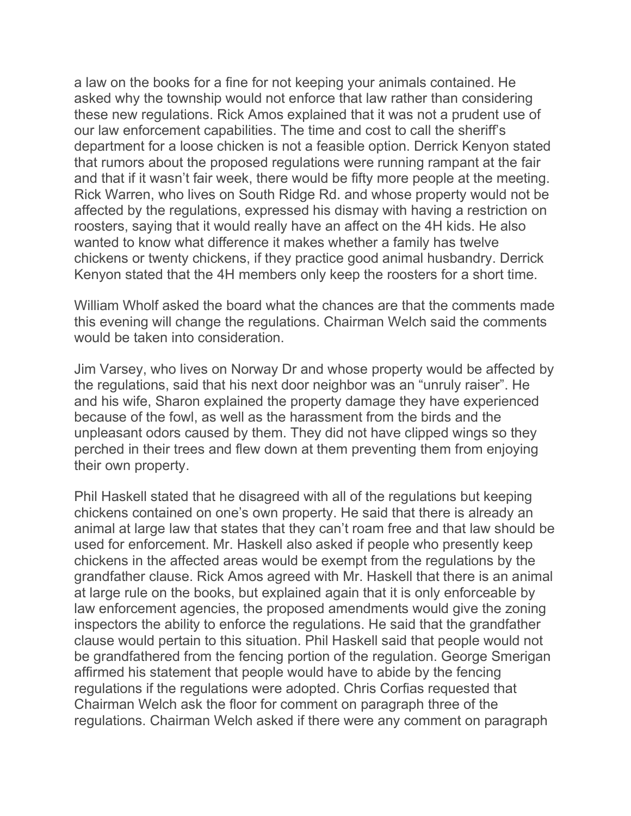a law on the books for a fine for not keeping your animals contained. He asked why the township would not enforce that law rather than considering these new regulations. Rick Amos explained that it was not a prudent use of our law enforcement capabilities. The time and cost to call the sheriff's department for a loose chicken is not a feasible option. Derrick Kenyon stated that rumors about the proposed regulations were running rampant at the fair and that if it wasn't fair week, there would be fifty more people at the meeting. Rick Warren, who lives on South Ridge Rd. and whose property would not be affected by the regulations, expressed his dismay with having a restriction on roosters, saying that it would really have an affect on the 4H kids. He also wanted to know what difference it makes whether a family has twelve chickens or twenty chickens, if they practice good animal husbandry. Derrick Kenyon stated that the 4H members only keep the roosters for a short time.

William Wholf asked the board what the chances are that the comments made this evening will change the regulations. Chairman Welch said the comments would be taken into consideration.

Jim Varsey, who lives on Norway Dr and whose property would be affected by the regulations, said that his next door neighbor was an "unruly raiser". He and his wife, Sharon explained the property damage they have experienced because of the fowl, as well as the harassment from the birds and the unpleasant odors caused by them. They did not have clipped wings so they perched in their trees and flew down at them preventing them from enjoying their own property.

Phil Haskell stated that he disagreed with all of the regulations but keeping chickens contained on one's own property. He said that there is already an animal at large law that states that they can't roam free and that law should be used for enforcement. Mr. Haskell also asked if people who presently keep chickens in the affected areas would be exempt from the regulations by the grandfather clause. Rick Amos agreed with Mr. Haskell that there is an animal at large rule on the books, but explained again that it is only enforceable by law enforcement agencies, the proposed amendments would give the zoning inspectors the ability to enforce the regulations. He said that the grandfather clause would pertain to this situation. Phil Haskell said that people would not be grandfathered from the fencing portion of the regulation. George Smerigan affirmed his statement that people would have to abide by the fencing regulations if the regulations were adopted. Chris Corfias requested that Chairman Welch ask the floor for comment on paragraph three of the regulations. Chairman Welch asked if there were any comment on paragraph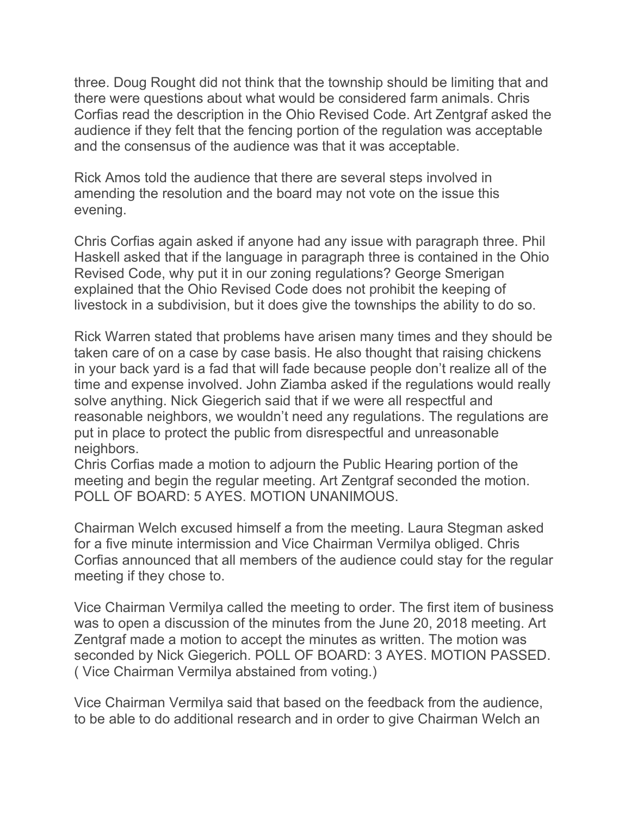three. Doug Rought did not think that the township should be limiting that and there were questions about what would be considered farm animals. Chris Corfias read the description in the Ohio Revised Code. Art Zentgraf asked the audience if they felt that the fencing portion of the regulation was acceptable and the consensus of the audience was that it was acceptable.

Rick Amos told the audience that there are several steps involved in amending the resolution and the board may not vote on the issue this evening.

Chris Corfias again asked if anyone had any issue with paragraph three. Phil Haskell asked that if the language in paragraph three is contained in the Ohio Revised Code, why put it in our zoning regulations? George Smerigan explained that the Ohio Revised Code does not prohibit the keeping of livestock in a subdivision, but it does give the townships the ability to do so.

Rick Warren stated that problems have arisen many times and they should be taken care of on a case by case basis. He also thought that raising chickens in your back yard is a fad that will fade because people don't realize all of the time and expense involved. John Ziamba asked if the regulations would really solve anything. Nick Giegerich said that if we were all respectful and reasonable neighbors, we wouldn't need any regulations. The regulations are put in place to protect the public from disrespectful and unreasonable neighbors.

Chris Corfias made a motion to adjourn the Public Hearing portion of the meeting and begin the regular meeting. Art Zentgraf seconded the motion. POLL OF BOARD: 5 AYES. MOTION UNANIMOUS.

Chairman Welch excused himself a from the meeting. Laura Stegman asked for a five minute intermission and Vice Chairman Vermilya obliged. Chris Corfias announced that all members of the audience could stay for the regular meeting if they chose to.

Vice Chairman Vermilya called the meeting to order. The first item of business was to open a discussion of the minutes from the June 20, 2018 meeting. Art Zentgraf made a motion to accept the minutes as written. The motion was seconded by Nick Giegerich. POLL OF BOARD: 3 AYES. MOTION PASSED. ( Vice Chairman Vermilya abstained from voting.)

Vice Chairman Vermilya said that based on the feedback from the audience, to be able to do additional research and in order to give Chairman Welch an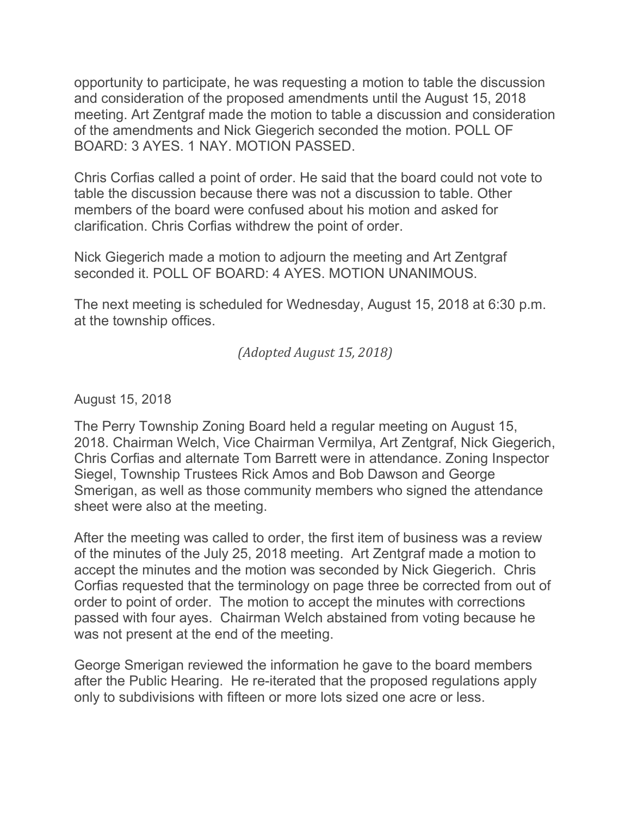opportunity to participate, he was requesting a motion to table the discussion and consideration of the proposed amendments until the August 15, 2018 meeting. Art Zentgraf made the motion to table a discussion and consideration of the amendments and Nick Giegerich seconded the motion. POLL OF BOARD: 3 AYES. 1 NAY. MOTION PASSED.

Chris Corfias called a point of order. He said that the board could not vote to table the discussion because there was not a discussion to table. Other members of the board were confused about his motion and asked for clarification. Chris Corfias withdrew the point of order.

Nick Giegerich made a motion to adjourn the meeting and Art Zentgraf seconded it. POLL OF BOARD: 4 AYES. MOTION UNANIMOUS.

The next meeting is scheduled for Wednesday, August 15, 2018 at 6:30 p.m. at the township offices.

(Adopted August 15, 2018)

August 15, 2018

The Perry Township Zoning Board held a regular meeting on August 15, 2018. Chairman Welch, Vice Chairman Vermilya, Art Zentgraf, Nick Giegerich, Chris Corfias and alternate Tom Barrett were in attendance. Zoning Inspector Siegel, Township Trustees Rick Amos and Bob Dawson and George Smerigan, as well as those community members who signed the attendance sheet were also at the meeting.

After the meeting was called to order, the first item of business was a review of the minutes of the July 25, 2018 meeting. Art Zentgraf made a motion to accept the minutes and the motion was seconded by Nick Giegerich. Chris Corfias requested that the terminology on page three be corrected from out of order to point of order. The motion to accept the minutes with corrections passed with four ayes. Chairman Welch abstained from voting because he was not present at the end of the meeting.

George Smerigan reviewed the information he gave to the board members after the Public Hearing. He re-iterated that the proposed regulations apply only to subdivisions with fifteen or more lots sized one acre or less.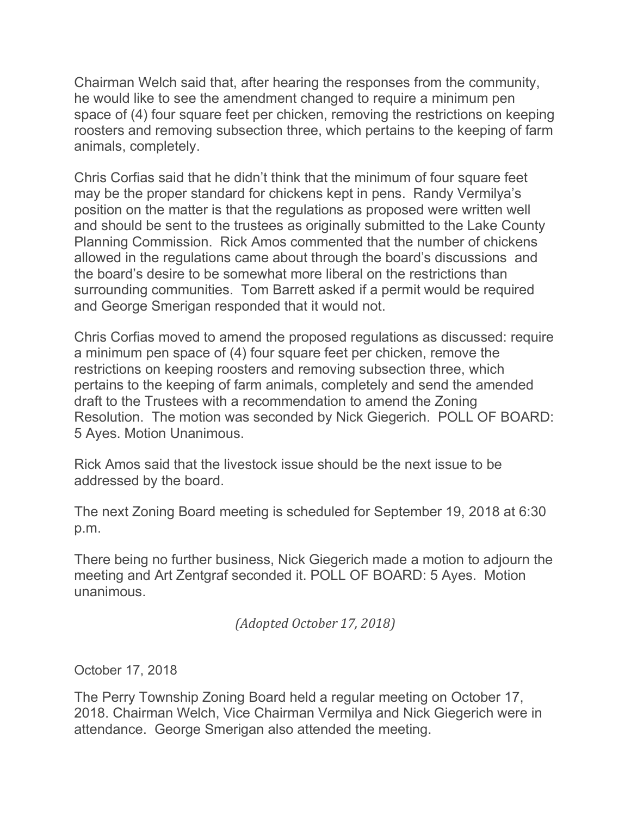Chairman Welch said that, after hearing the responses from the community, he would like to see the amendment changed to require a minimum pen space of (4) four square feet per chicken, removing the restrictions on keeping roosters and removing subsection three, which pertains to the keeping of farm animals, completely.

Chris Corfias said that he didn't think that the minimum of four square feet may be the proper standard for chickens kept in pens. Randy Vermilya's position on the matter is that the regulations as proposed were written well and should be sent to the trustees as originally submitted to the Lake County Planning Commission. Rick Amos commented that the number of chickens allowed in the regulations came about through the board's discussions and the board's desire to be somewhat more liberal on the restrictions than surrounding communities. Tom Barrett asked if a permit would be required and George Smerigan responded that it would not.

Chris Corfias moved to amend the proposed regulations as discussed: require a minimum pen space of (4) four square feet per chicken, remove the restrictions on keeping roosters and removing subsection three, which pertains to the keeping of farm animals, completely and send the amended draft to the Trustees with a recommendation to amend the Zoning Resolution. The motion was seconded by Nick Giegerich. POLL OF BOARD: 5 Ayes. Motion Unanimous.

Rick Amos said that the livestock issue should be the next issue to be addressed by the board.

The next Zoning Board meeting is scheduled for September 19, 2018 at 6:30 p.m.

There being no further business, Nick Giegerich made a motion to adjourn the meeting and Art Zentgraf seconded it. POLL OF BOARD: 5 Ayes. Motion unanimous.

(Adopted October 17, 2018)

October 17, 2018

The Perry Township Zoning Board held a regular meeting on October 17, 2018. Chairman Welch, Vice Chairman Vermilya and Nick Giegerich were in attendance. George Smerigan also attended the meeting.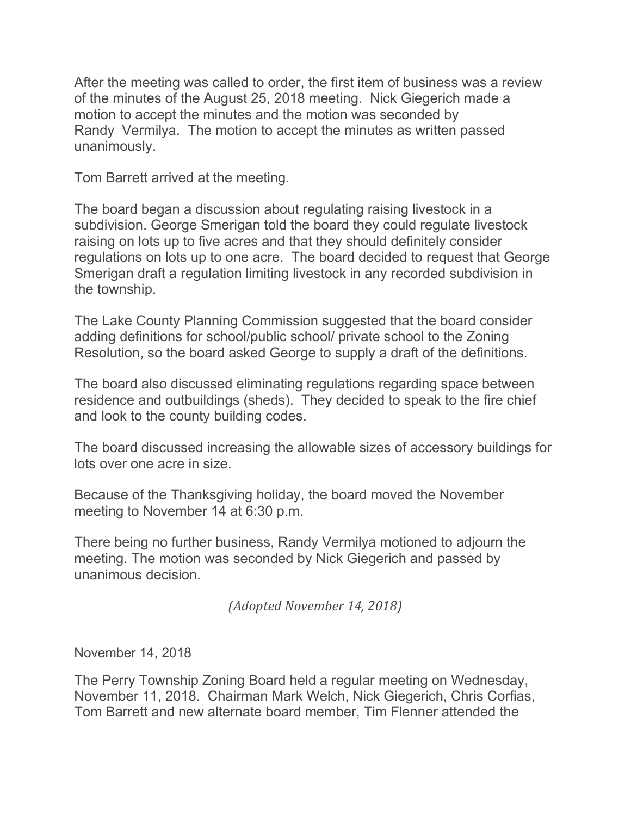After the meeting was called to order, the first item of business was a review of the minutes of the August 25, 2018 meeting. Nick Giegerich made a motion to accept the minutes and the motion was seconded by Randy Vermilya. The motion to accept the minutes as written passed unanimously.

Tom Barrett arrived at the meeting.

The board began a discussion about regulating raising livestock in a subdivision. George Smerigan told the board they could regulate livestock raising on lots up to five acres and that they should definitely consider regulations on lots up to one acre. The board decided to request that George Smerigan draft a regulation limiting livestock in any recorded subdivision in the township.

The Lake County Planning Commission suggested that the board consider adding definitions for school/public school/ private school to the Zoning Resolution, so the board asked George to supply a draft of the definitions.

The board also discussed eliminating regulations regarding space between residence and outbuildings (sheds). They decided to speak to the fire chief and look to the county building codes.

The board discussed increasing the allowable sizes of accessory buildings for lots over one acre in size.

Because of the Thanksgiving holiday, the board moved the November meeting to November 14 at 6:30 p.m.

There being no further business, Randy Vermilya motioned to adjourn the meeting. The motion was seconded by Nick Giegerich and passed by unanimous decision.

(Adopted November 14, 2018)

November 14, 2018

The Perry Township Zoning Board held a regular meeting on Wednesday, November 11, 2018. Chairman Mark Welch, Nick Giegerich, Chris Corfias, Tom Barrett and new alternate board member, Tim Flenner attended the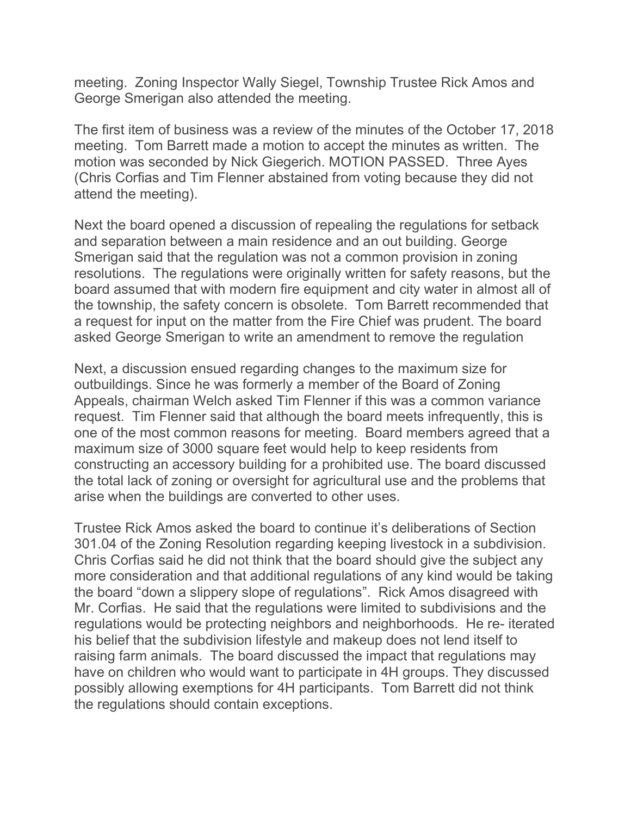meeting. Zoning Inspector Wally Siegel, Township Trustee Rick Amos and George Smerigan also attended the meeting.

The first item of business was a review of the minutes of the October 17, 2018 meeting. Tom Barrett made a motion to accept the minutes as written. The motion was seconded by Nick Giegerich. MOTION PASSED. Three Ayes (Chris Corfias and Tim Flenner abstained from voting because they did not attend the meeting).

Next the board opened a discussion of repealing the regulations for setback and separation between a main residence and an out building. George Smerigan said that the regulation was not a common provision in zoning resolutions. The regulations were originally written for safety reasons, but the board assumed that with modern fire equipment and city water in almost all of the township, the safety concern is obsolete. Tom Barrett recommended that a request for input on the matter from the Fire Chief was prudent. The board asked George Smerigan to write an amendment to remove the regulation

Next, a discussion ensued regarding changes to the maximum size for outbuildings. Since he was formerly a member of the Board of Zoning Appeals, chairman Welch asked Tim Flenner if this was a common variance request. Tim Flenner said that although the board meets infrequently, this is one of the most common reasons for meeting. Board members agreed that a maximum size of 3000 square feet would help to keep residents from constructing an accessory building for a prohibited use. The board discussed the total lack of zoning or oversight for agricultural use and the problems that arise when the buildings are converted to other uses.

Trustee Rick Amos asked the board to continue it's deliberations of Section 301.04 of the Zoning Resolution regarding keeping livestock in a subdivision. Chris Corfias said he did not think that the board should give the subject any more consideration and that additional regulations of any kind would be taking the board "down a slippery slope of regulations". Rick Amos disagreed with Mr. Corfias. He said that the regulations were limited to subdivisions and the regulations would be protecting neighbors and neighborhoods. He re- iterated his belief that the subdivision lifestyle and makeup does not lend itself to raising farm animals. The board discussed the impact that regulations may have on children who would want to participate in 4H groups. They discussed possibly allowing exemptions for 4H participants. Tom Barrett did not think the regulations should contain exceptions.